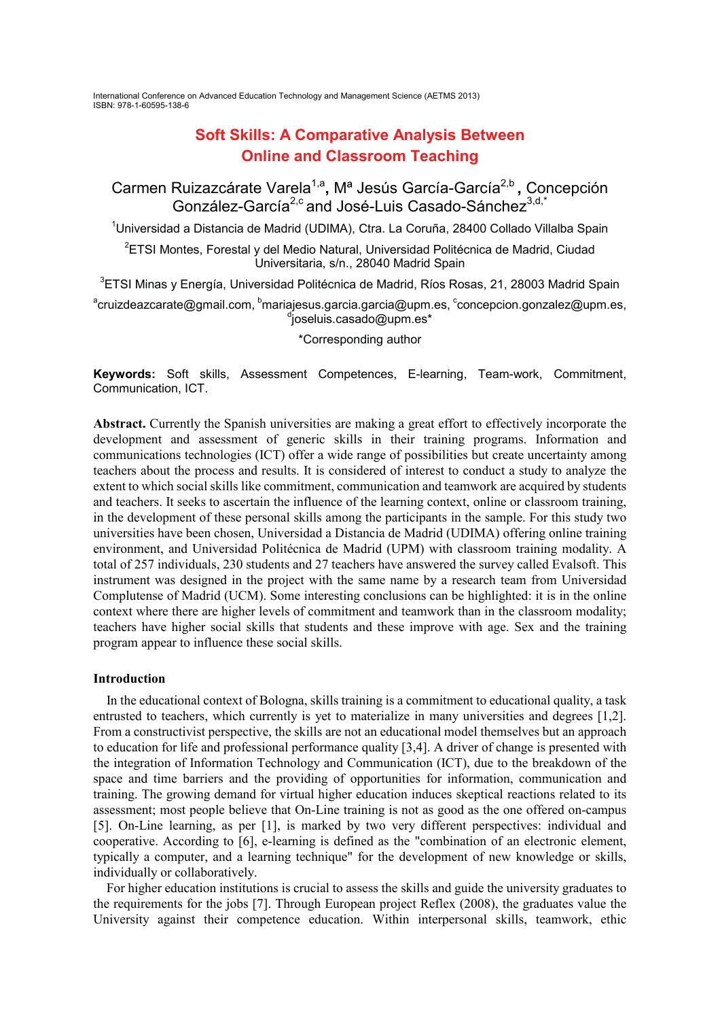International Conference on Advanced Education Technology and Management Science (AETMS 2013) ISBN: 978-1-60595-138-6

# **Soft Skills: A Comparative Analysis Between 2 Dhine and Classroom Teaching**

Carmen Ruizazcárate Varela<sup>1,a</sup>, M<sup>a</sup> Jesús García-García<sup>2,b</sup>, Concepción González-García<sup>2,c</sup> and José-Luis Casado-Sánchez<sup>3,d,\*</sup>

<sup>1</sup>Universidad a Distancia de Madrid (UDIMA), Ctra. La Coruña, 28400 Collado Villalba Spain

 $^2$ ETSI Montes, Forestal y del Medio Natural, Universidad Politécnica de Madrid, Ciudad Universitaria, s/n., 28040 Madrid Spain

 $^3$ ETSI Minas y Energía, Universidad Politécnica de Madrid, Ríos Rosas, 21, 28003 Madrid Spain acruizdeazcarate@gmail.com, <sup>b</sup>mariajesus.garcia.garcia@upm.es, concepcion.gonzalez@upm.es, composition.gonzalezi  $\alpha$  ioseluis.casado@upm.es\*

\*Corresponding author

Keywords: Soft skills, Assessment Competences, E-learning, Team-work, Commitment, Communication, ICT.

**Abstract.** Currently the Spanish universities are making a great effort to effectively incorporate the development and assessment of generic skills in their training programs. Information and communications technologies (ICT) offer a wide range of possibilities but create uncertainty among teachers about the process and results. It is considered of interest to conduct a study to analyze the extent to which social skills like commitment, communication and teamwork are acquired by students and teachers. It seeks to ascertain the influence of the learning context, online or classroom training, in the development of these personal skills among the participants in the sample. For this study two universities have been chosen, Universidad a Distancia de Madrid (UDIMA) offering online training environment, and Universidad Politécnica de Madrid (UPM) with classroom training modality. A total of 257 individuals, 230 students and 27 teachers have answered the survey called Evalsoft. This instrument was designed in the project with the same name by a research team from Universidad Complutense of Madrid (UCM). Some interesting conclusions can be highlighted: it is in the online context where there are higher levels of commitment and teamwork than in the classroom modality; teachers have higher social skills that students and these improve with age. Sex and the training program appear to influence these social skills.

#### **Introduction**

In the educational context of Bologna, skills training is a commitment to educational quality, a task entrusted to teachers, which currently is yet to materialize in many universities and degrees  $[1,2]$ . From a constructivist perspective, the skills are not an educational model themselves but an approach to education for life and professional performance quality [3,4]. A driver of change is presented with the integration of Information Technology and Communication (ICT), due to the breakdown of the space and time barriers and the providing of opportunities for information, communication and training. The growing demand for virtual higher education induces skeptical reactions related to its assessment; most people believe that On-Line training is not as good as the one offered on-campus  $[5]$ . On-Line learning, as per  $[1]$ , is marked by two very different perspectives: individual and cooperative. According to [6], e-learning is defined as the "combination of an electronic element, typically a computer, and a learning technique" for the development of new knowledge or skills, individually or collaboratively.

For higher education institutions is crucial to assess the skills and guide the university graduates to the requirements for the jobs [7]. Through European project Reflex (2008), the graduates value the University against their competence education. Within interpersonal skills, teamwork, ethic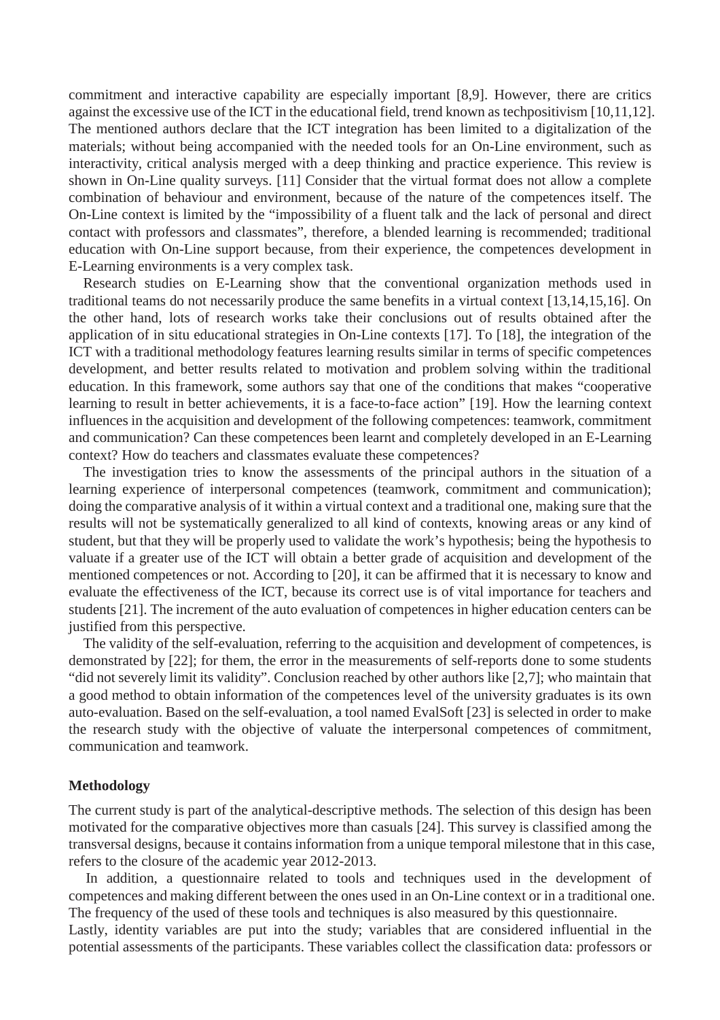commitment and interactive capability are especially important [8,9]. However, there are critics against the excessive use of the ICT in the educational field, trend known as techpositivism [10,11,12]. The mentioned authors declare that the ICT integration has been limited to a digitalization of the materials; without being accompanied with the needed tools for an On-Line environment, such as interactivity, critical analysis merged with a deep thinking and practice experience. This review is shown in On-Line quality surveys. [11] Consider that the virtual format does not allow a complete combination of behaviour and environment, because of the nature of the competences itself. The On-Line context is limited by the "impossibility of a fluent talk and the lack of personal and direct contact with professors and classmates", therefore, a blended learning is recommended; traditional education with On-Line support because, from their experience, the competences development in E-Learning environments is a very complex task.

Research studies on E-Learning show that the conventional organization methods used in traditional teams do not necessarily produce the same benefits in a virtual context [13,14,15,16]. On the other hand, lots of research works take their conclusions out of results obtained after the application of in situ educational strategies in On-Line contexts [17]. To [18], the integration of the ICT with a traditional methodology features learning results similar in terms of specific competences development, and better results related to motivation and problem solving within the traditional education. In this framework, some authors say that one of the conditions that makes "cooperative learning to result in better achievements, it is a face-to-face action" [19]. How the learning context influences in the acquisition and development of the following competences: teamwork, commitment and communication? Can these competences been learnt and completely developed in an E-Learning context? How do teachers and classmates evaluate these competences?

The investigation tries to know the assessments of the principal authors in the situation of a learning experience of interpersonal competences (teamwork, commitment and communication); doing the comparative analysis of it within a virtual context and a traditional one, making sure that the results will not be systematically generalized to all kind of contexts, knowing areas or any kind of student, but that they will be properly used to validate the work's hypothesis; being the hypothesis to valuate if a greater use of the ICT will obtain a better grade of acquisition and development of the mentioned competences or not. According to [20], it can be affirmed that it is necessary to know and evaluate the effectiveness of the ICT, because its correct use is of vital importance for teachers and students [21]. The increment of the auto evaluation of competences in higher education centers can be justified from this perspective.

The validity of the self-evaluation, referring to the acquisition and development of competences, is demonstrated by [22]; for them, the error in the measurements of self-reports done to some students "did not severely limit its validity". Conclusion reached by other authors like [2,7]; who maintain that a good method to obtain information of the competences level of the university graduates is its own auto-evaluation. Based on the self-evaluation, a tool named EvalSoft [23] is selected in order to make the research study with the objective of valuate the interpersonal competences of commitment, communication and teamwork.

#### **Methodology**

The current study is part of the analytical-descriptive methods. The selection of this design has been motivated for the comparative objectives more than casuals [24]. This survey is classified among the transversal designs, because it contains information from a unique temporal milestone that in this case, refers to the closure of the academic year 2012-2013.

In addition, a questionnaire related to tools and techniques used in the development of competences and making different between the ones used in an On-Line context or in a traditional one. The frequency of the used of these tools and techniques is also measured by this questionnaire.

Lastly, identity variables are put into the study; variables that are considered influential in the potential assessments of the participants. These variables collect the classification data: professors or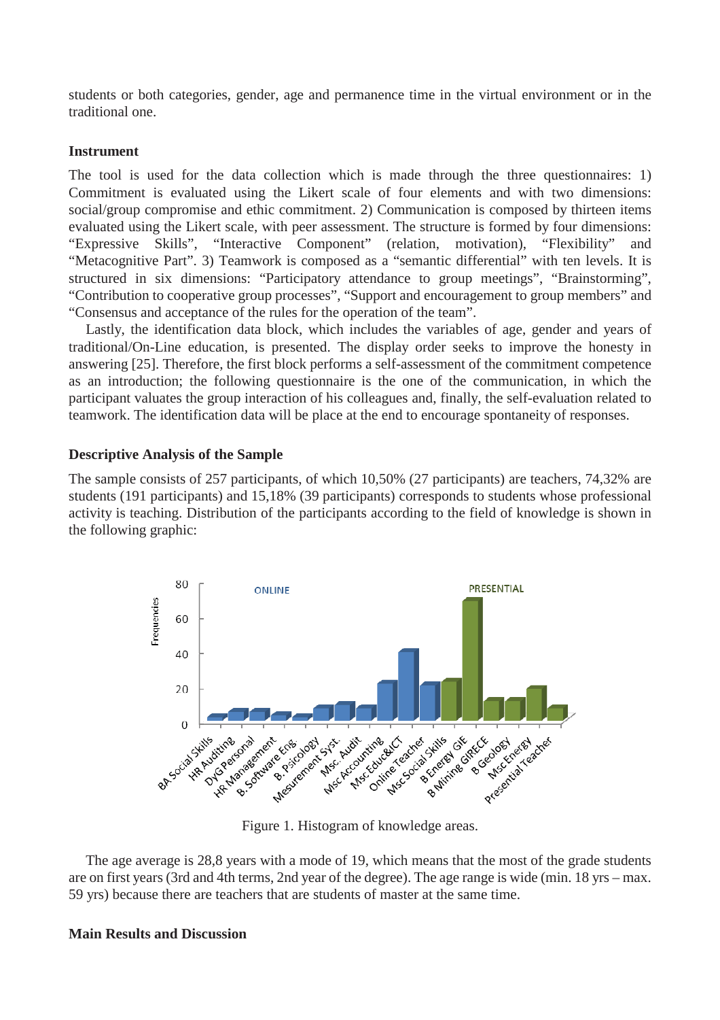students or both categories, gender, age and permanence time in the virtual environment or in the traditional one.

## **Instrument**

The tool is used for the data collection which is made through the three questionnaires: 1) Commitment is evaluated using the Likert scale of four elements and with two dimensions: social/group compromise and ethic commitment. 2) Communication is composed by thirteen items evaluated using the Likert scale, with peer assessment. The structure is formed by four dimensions: "Expressive Skills", "Interactive Component" (relation, motivation), "Flexibility" and "Metacognitive Part". 3) Teamwork is composed as a "semantic differential" with ten levels. It is structured in six dimensions: "Participatory attendance to group meetings", "Brainstorming", "Contribution to cooperative group processes", "Support and encouragement to group members" and "Consensus and acceptance of the rules for the operation of the team".

Lastly, the identification data block, which includes the variables of age, gender and years of traditional/On-Line education, is presented. The display order seeks to improve the honesty in answering [25]. Therefore, the first block performs a self-assessment of the commitment competence as an introduction; the following questionnaire is the one of the communication, in which the participant valuates the group interaction of his colleagues and, finally, the self-evaluation related to teamwork. The identification data will be place at the end to encourage spontaneity of responses.

## **Descriptive Analysis of the Sample**

The sample consists of 257 participants, of which 10,50% (27 participants) are teachers, 74,32% are students (191 participants) and 15,18% (39 participants) corresponds to students whose professional activity is teaching. Distribution of the participants according to the field of knowledge is shown in the following graphic:



Figure 1. Histogram of knowledge areas.

The age average is 28,8 years with a mode of 19, which means that the most of the grade students are on first years (3rd and 4th terms, 2nd year of the degree). The age range is wide (min. 18 yrs – max. 59 yrs) because there are teachers that are students of master at the same time.

#### **Main Results and Discussion**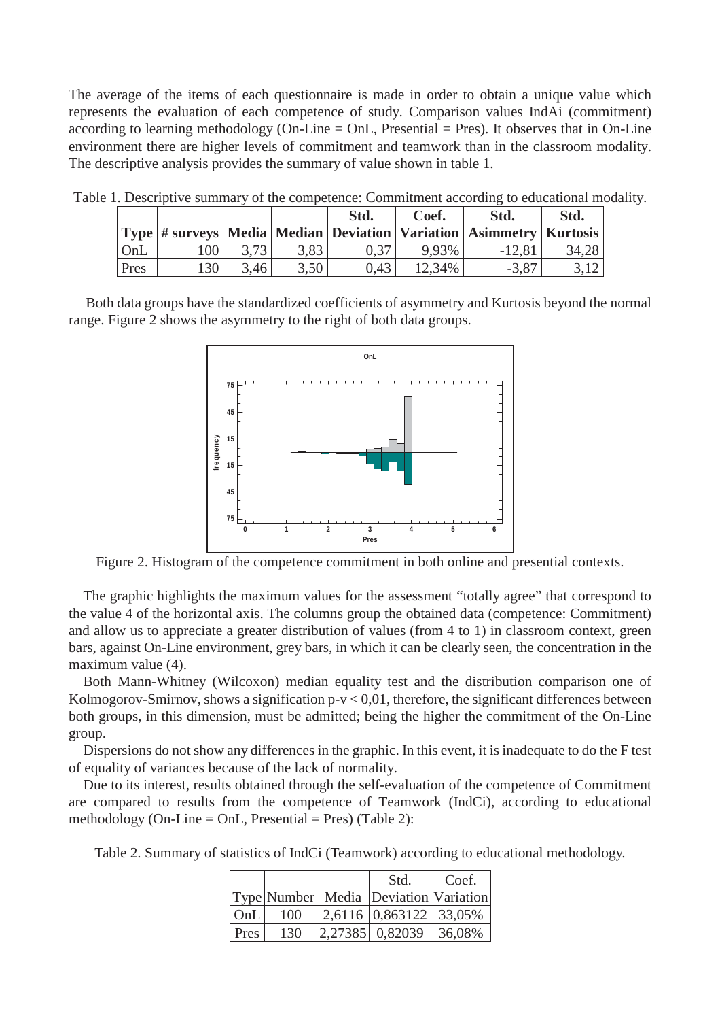The average of the items of each questionnaire is made in order to obtain a unique value which represents the evaluation of each competence of study. Comparison values IndAi (commitment) according to learning methodology (On-Line  $=$  OnL, Presential  $=$  Pres). It observes that in On-Line environment there are higher levels of commitment and teamwork than in the classroom modality. The descriptive analysis provides the summary of value shown in table 1.

|      |       |      |      | Std. | Coef.  | Std.<br>  Type   # surveys   Media   Median   Deviation   Variation   Asimmetry   Kurtosis | Std.  |
|------|-------|------|------|------|--------|--------------------------------------------------------------------------------------------|-------|
| OnL  | 100 l | 3,73 | 3,83 | 0.37 | 9.93%  | $-12,81$                                                                                   | 34,28 |
| Pres | 130   | 3.46 | 3.50 | 0.43 | 12,34% | $-3,87$                                                                                    |       |

Table 1. Descriptive summary of the competence: Commitment according to educational modality.

Both data groups have the standardized coefficients of asymmetry and Kurtosis beyond the normal range. Figure 2 shows the asymmetry to the right of both data groups.



Figure 2. Histogram of the competence commitment in both online and presential contexts.

The graphic highlights the maximum values for the assessment "totally agree" that correspond to the value 4 of the horizontal axis. The columns group the obtained data (competence: Commitment) and allow us to appreciate a greater distribution of values (from 4 to 1) in classroom context, green bars, against On-Line environment, grey bars, in which it can be clearly seen, the concentration in the maximum value (4).

Both Mann-Whitney (Wilcoxon) median equality test and the distribution comparison one of Kolmogorov-Smirnov, shows a signification  $p-v < 0.01$ , therefore, the significant differences between both groups, in this dimension, must be admitted; being the higher the commitment of the On-Line group.

Dispersions do not show any differences in the graphic. In this event, it is inadequate to do the F test of equality of variances because of the lack of normality.

Due to its interest, results obtained through the self-evaluation of the competence of Commitment are compared to results from the competence of Teamwork (IndCi), according to educational methodology (On-Line = OnL, Presential = Pres) (Table 2):

Table 2. Summary of statistics of IndCi (Teamwork) according to educational methodology.

|      |     | Std.                                    | Coef. |
|------|-----|-----------------------------------------|-------|
|      |     | Type Number Media Deviation Variation   |       |
| OnL  | 100 | 2,6116 0,863122 33,05%                  |       |
| Pres | 130 | $\left  2,27385 \right $ 0,82039 36,08% |       |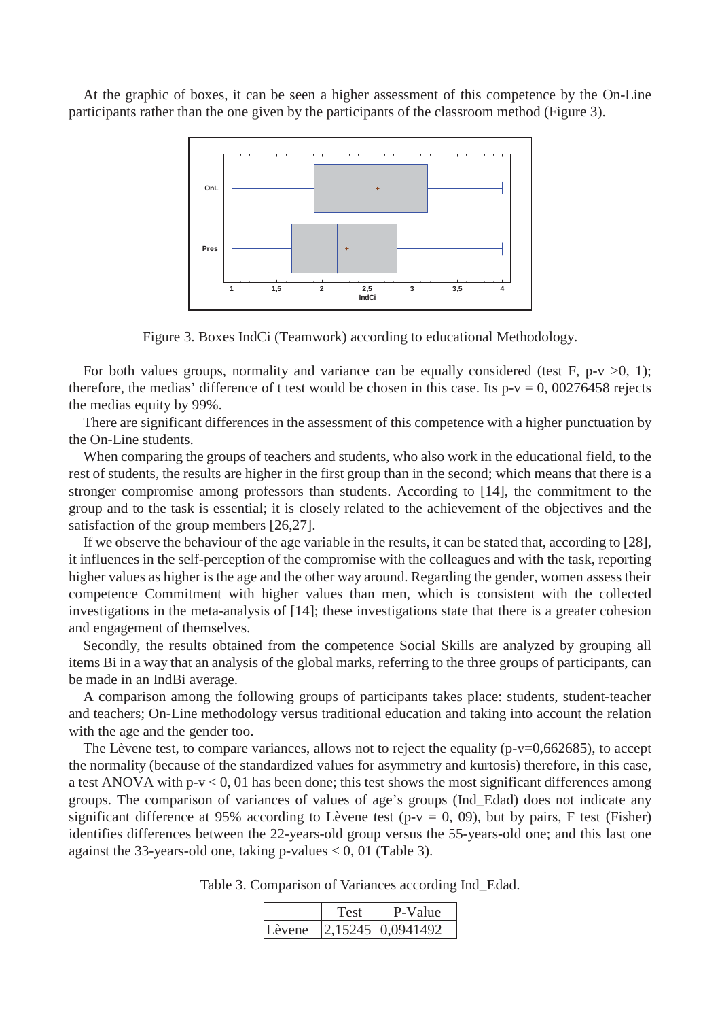At the graphic of boxes, it can be seen a higher assessment of this competence by the On-Line participants rather than the one given by the participants of the classroom method (Figure 3).



Figure 3. Boxes IndCi (Teamwork) according to educational Methodology.

For both values groups, normality and variance can be equally considered (test F, p-v  $>0$ , 1); therefore, the medias' difference of t test would be chosen in this case. Its  $p-v = 0$ , 00276458 rejects the medias equity by 99%.

There are significant differences in the assessment of this competence with a higher punctuation by the On-Line students.

When comparing the groups of teachers and students, who also work in the educational field, to the rest of students, the results are higher in the first group than in the second; which means that there is a stronger compromise among professors than students. According to [14], the commitment to the group and to the task is essential; it is closely related to the achievement of the objectives and the satisfaction of the group members [26,27].

If we observe the behaviour of the age variable in the results, it can be stated that, according to [28], it influences in the self-perception of the compromise with the colleagues and with the task, reporting higher values as higher is the age and the other way around. Regarding the gender, women assess their competence Commitment with higher values than men, which is consistent with the collected investigations in the meta-analysis of [14]; these investigations state that there is a greater cohesion and engagement of themselves.

Secondly, the results obtained from the competence Social Skills are analyzed by grouping all items Bi in a way that an analysis of the global marks, referring to the three groups of participants, can be made in an IndBi average.

A comparison among the following groups of participants takes place: students, student-teacher and teachers; On-Line methodology versus traditional education and taking into account the relation with the age and the gender too.

The Lèvene test, to compare variances, allows not to reject the equality (p-v=0,662685), to accept the normality (because of the standardized values for asymmetry and kurtosis) therefore, in this case, a test ANOVA with p-v < 0, 01 has been done; this test shows the most significant differences among groups. The comparison of variances of values of age's groups (Ind\_Edad) does not indicate any significant difference at 95% according to Lèvene test (p-v = 0, 09), but by pairs, F test (Fisher) identifies differences between the 22-years-old group versus the 55-years-old one; and this last one against the 33-years-old one, taking p-values < 0, 01 (Table 3).

|        | Test | P-Value                               |
|--------|------|---------------------------------------|
| Lèvene |      | $\vert 2,15245 \vert 0,0941492 \vert$ |

Table 3. Comparison of Variances according Ind\_Edad.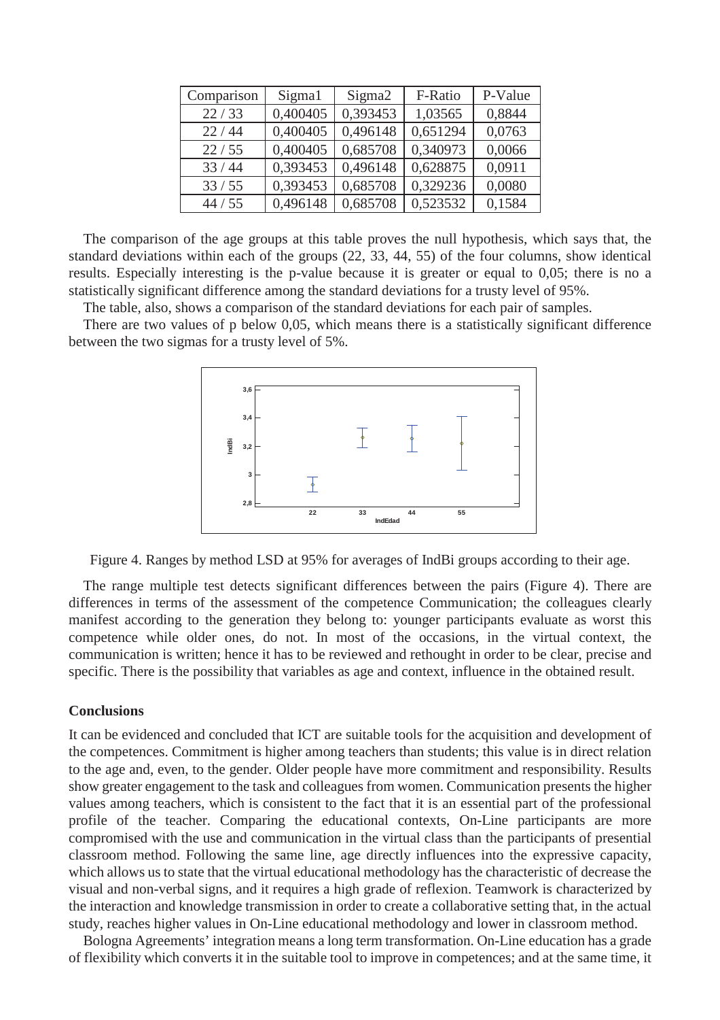| Comparison | Sigma1   | Sigma <sub>2</sub> | F-Ratio  | P-Value |
|------------|----------|--------------------|----------|---------|
| 22/33      | 0,400405 | 0,393453           | 1,03565  | 0,8844  |
| 22/44      | 0,400405 | 0,496148           | 0,651294 | 0,0763  |
| 22/55      | 0,400405 | 0,685708           | 0,340973 | 0,0066  |
| 33/44      | 0,393453 | 0,496148           | 0,628875 | 0,0911  |
| 33 / 55    | 0,393453 | 0,685708           | 0,329236 | 0,0080  |
| 44/55      | 0,496148 | 0,685708           | 0,523532 | 0,1584  |

The comparison of the age groups at this table proves the null hypothesis, which says that, the standard deviations within each of the groups (22, 33, 44, 55) of the four columns, show identical results. Especially interesting is the p-value because it is greater or equal to 0,05; there is no a statistically significant difference among the standard deviations for a trusty level of 95%.

The table, also, shows a comparison of the standard deviations for each pair of samples.

There are two values of p below 0,05, which means there is a statistically significant difference between the two sigmas for a trusty level of 5%.



Figure 4. Ranges by method LSD at 95% for averages of IndBi groups according to their age.

The range multiple test detects significant differences between the pairs (Figure 4). There are differences in terms of the assessment of the competence Communication; the colleagues clearly manifest according to the generation they belong to: younger participants evaluate as worst this competence while older ones, do not. In most of the occasions, in the virtual context, the communication is written; hence it has to be reviewed and rethought in order to be clear, precise and specific. There is the possibility that variables as age and context, influence in the obtained result.

#### **Conclusions**

It can be evidenced and concluded that ICT are suitable tools for the acquisition and development of the competences. Commitment is higher among teachers than students; this value is in direct relation to the age and, even, to the gender. Older people have more commitment and responsibility. Results show greater engagement to the task and colleagues from women. Communication presents the higher values among teachers, which is consistent to the fact that it is an essential part of the professional profile of the teacher. Comparing the educational contexts, On-Line participants are more compromised with the use and communication in the virtual class than the participants of presential classroom method. Following the same line, age directly influences into the expressive capacity, which allows us to state that the virtual educational methodology has the characteristic of decrease the visual and non-verbal signs, and it requires a high grade of reflexion. Teamwork is characterized by the interaction and knowledge transmission in order to create a collaborative setting that, in the actual study, reaches higher values in On-Line educational methodology and lower in classroom method.

Bologna Agreements' integration means a long term transformation. On-Line education has a grade of flexibility which converts it in the suitable tool to improve in competences; and at the same time, it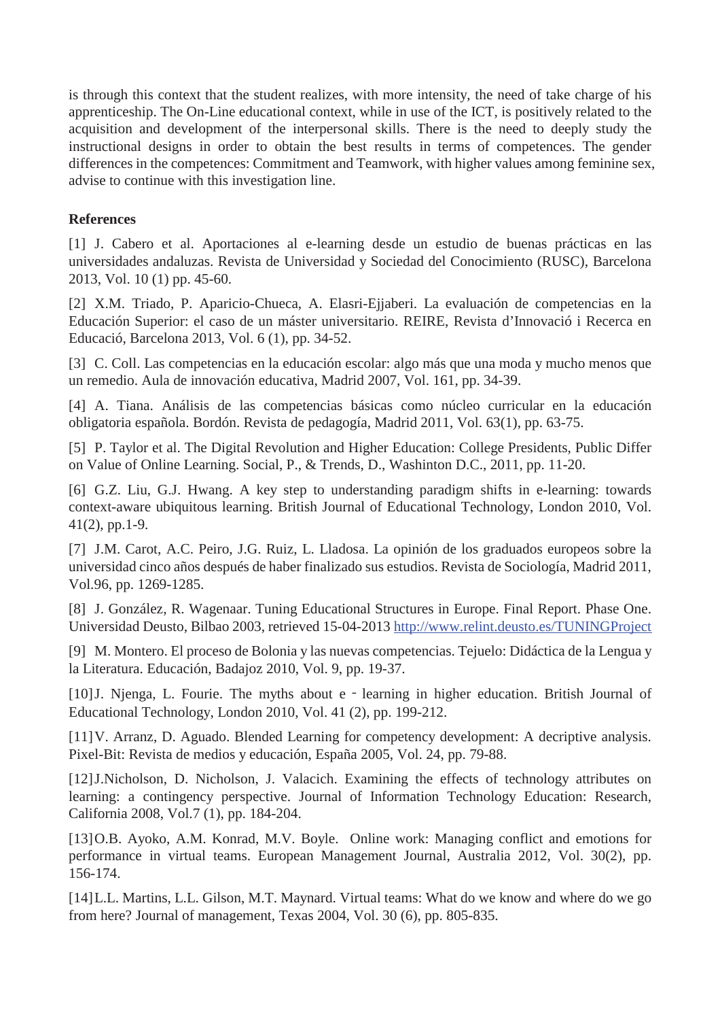is through this context that the student realizes, with more intensity, the need of take charge of his apprenticeship. The On-Line educational context, while in use of the ICT, is positively related to the acquisition and development of the interpersonal skills. There is the need to deeply study the instructional designs in order to obtain the best results in terms of competences. The gender differences in the competences: Commitment and Teamwork, with higher values among feminine sex, advise to continue with this investigation line.

## **References**

[1] J. Cabero et al. Aportaciones al e-learning desde un estudio de buenas prácticas en las universidades andaluzas. Revista de Universidad y Sociedad del Conocimiento (RUSC), Barcelona 2013, Vol. 10 (1) pp. 45-60.

[2] X.M. Triado, P. Aparicio-Chueca, A. Elasri-Ejjaberi. La evaluación de competencias en la Educación Superior: el caso de un máster universitario. REIRE, Revista d'Innovació i Recerca en Educació, Barcelona 2013, Vol. 6 (1), pp. 34-52.

[3] C. Coll. Las competencias en la educación escolar: algo más que una moda y mucho menos que un remedio. Aula de innovación educativa, Madrid 2007, Vol. 161, pp. 34-39.

[4] A. Tiana. Análisis de las competencias básicas como núcleo curricular en la educación obligatoria española. Bordón. Revista de pedagogía, Madrid 2011, Vol. 63(1), pp. 63-75.

[5] P. Taylor et al. The Digital Revolution and Higher Education: College Presidents, Public Differ on Value of Online Learning. Social, P., & Trends, D., Washinton D.C., 2011, pp. 11-20.

[6] G.Z. Liu, G.J. Hwang. A key step to understanding paradigm shifts in e-learning: towards context-aware ubiquitous learning. British Journal of Educational Technology, London 2010, Vol. 41(2), pp.1-9.

[7] J.M. Carot, A.C. Peiro, J.G. Ruiz, L. Lladosa. La opinión de los graduados europeos sobre la universidad cinco años después de haber finalizado sus estudios. Revista de Sociología, Madrid 2011, Vol.96, pp. 1269-1285.

[8] J. González, R. Wagenaar. Tuning Educational Structures in Europe. Final Report. Phase One. Universidad Deusto, Bilbao 2003, retrieved 15-04-2013 http://www.relint.deusto.es/TUNINGProject

[9] M. Montero. El proceso de Bolonia y las nuevas competencias. Tejuelo: Didáctica de la Lengua y la Literatura. Educación, Badajoz 2010, Vol. 9, pp. 19-37.

[10] J. Njenga, L. Fourie. The myths about e - learning in higher education. British Journal of Educational Technology, London 2010, Vol. 41 (2), pp. 199-212.

[11] V. Arranz, D. Aguado. Blended Learning for competency development: A decriptive analysis. Pixel-Bit: Revista de medios y educación, España 2005, Vol. 24, pp. 79-88.

[12] J.Nicholson, D. Nicholson, J. Valacich. Examining the effects of technology attributes on learning: a contingency perspective. Journal of Information Technology Education: Research, California 2008, Vol.7 (1), pp. 184-204.

[13] O.B. Ayoko, A.M. Konrad, M.V. Boyle. Online work: Managing conflict and emotions for performance in virtual teams. European Management Journal, Australia 2012, Vol. 30(2), pp. 156-174.

[14] L.L. Martins, L.L. Gilson, M.T. Maynard. Virtual teams: What do we know and where do we go from here? Journal of management, Texas 2004, Vol. 30 (6), pp. 805-835.